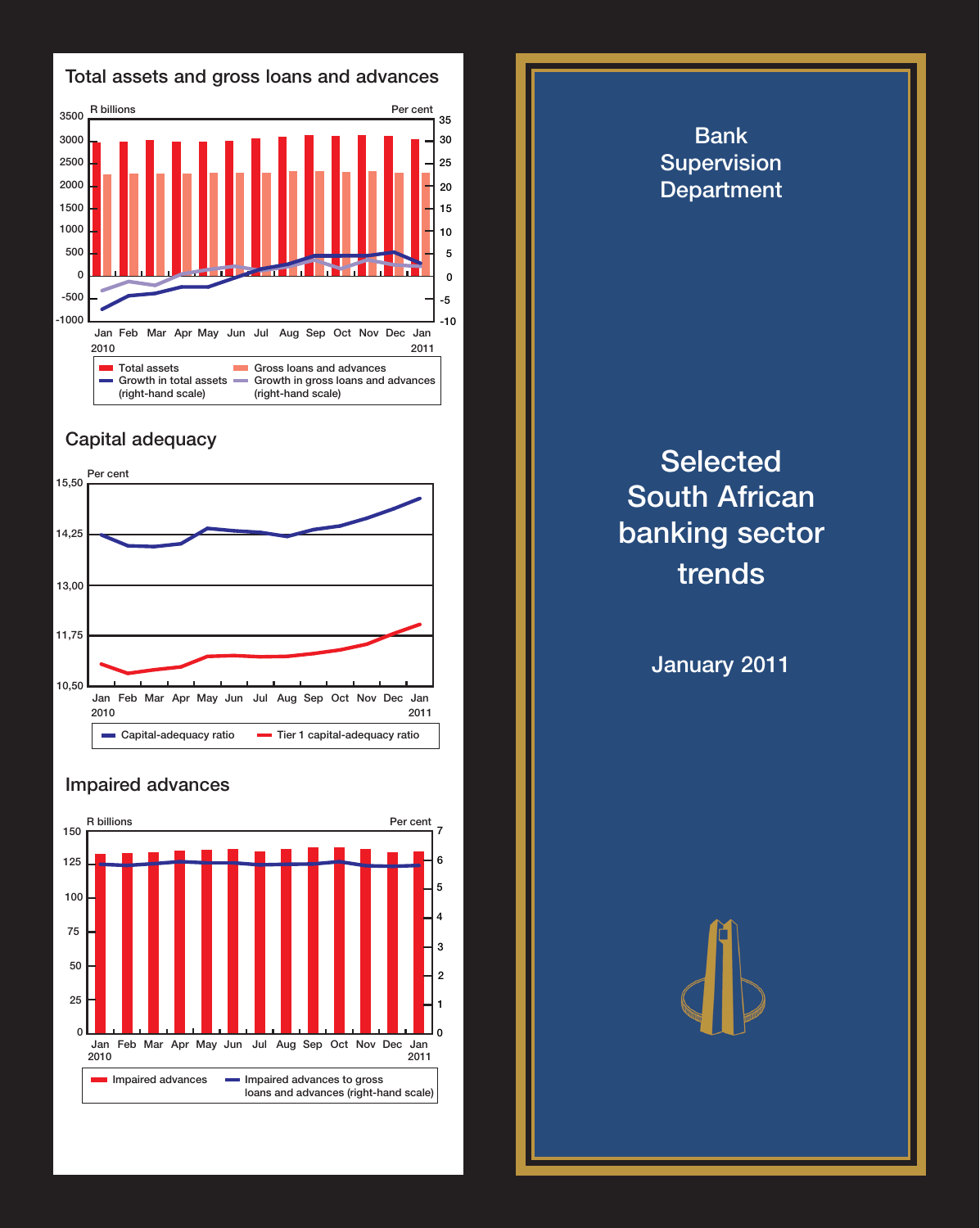

## **Capital adequacy**



## **Impaired advances**



**Bank Supervision Department Selected South African banking sector trends January 2011**